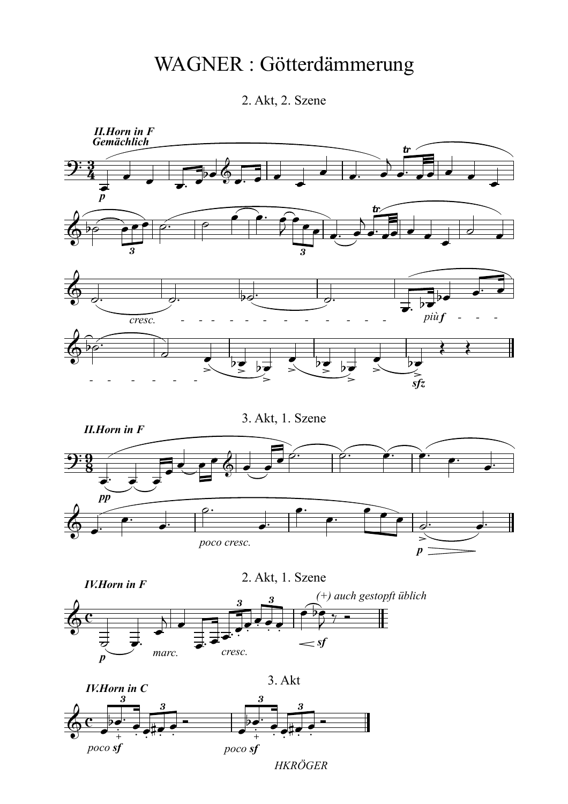## WAGNER : Götterdämmerung

2. Akt, 2. Szene



*HKRÖGER*